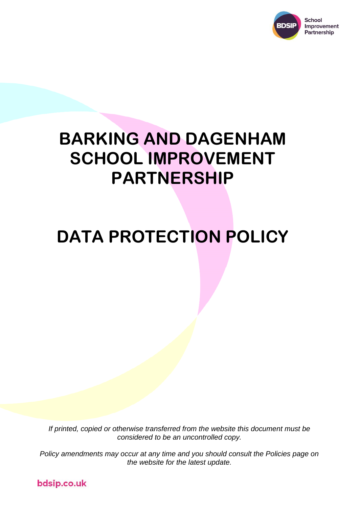

# **BARKING AND DAGENHAM SCHOOL IMPROVEMENT PARTNERSHIP**

# **DATA PROTECTION POLICY**

*If printed, copied or otherwise transferred from the website this document must be considered to be an uncontrolled copy.*

*Policy amendments may occur at any time and you should consult the Policies page on the website for the latest update.*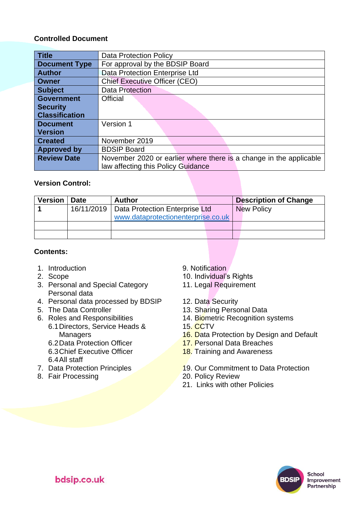## **Controlled Document**

| <b>Title</b>          | <b>Data Protection Policy</b>                                      |  |  |  |
|-----------------------|--------------------------------------------------------------------|--|--|--|
| <b>Document Type</b>  | For approval by the BDSIP Board                                    |  |  |  |
| <b>Author</b>         | Data Protection Enterprise Ltd                                     |  |  |  |
| <b>Owner</b>          | <b>Chief Executive Officer (CEO)</b>                               |  |  |  |
| <b>Subject</b>        | <b>Data Protection</b>                                             |  |  |  |
| <b>Government</b>     | <b>Official</b>                                                    |  |  |  |
| <b>Security</b>       |                                                                    |  |  |  |
| <b>Classification</b> |                                                                    |  |  |  |
| <b>Document</b>       | Version 1                                                          |  |  |  |
| <b>Version</b>        |                                                                    |  |  |  |
| <b>Created</b>        | November 2019                                                      |  |  |  |
| <b>Approved by</b>    | <b>BDSIP Board</b>                                                 |  |  |  |
| <b>Review Date</b>    | November 2020 or earlier where there is a change in the applicable |  |  |  |
|                       | law affecting this Policy Guidance                                 |  |  |  |

## **Version Control:**

| <b>Version</b> | l Date | <b>Author</b>                               | <b>Description of Change</b> |
|----------------|--------|---------------------------------------------|------------------------------|
|                |        | 16/11/2019   Data Protection Enterprise Ltd | <b>New Policy</b>            |
|                |        | www.dataprotectionenterprise.co.uk          |                              |
|                |        |                                             |                              |
|                |        |                                             |                              |

## **Contents:**

- 1. Introduction 6. 2009 1. The Second Second Second Second Second Second Second Second Second Second Second Second Second Second Second Second Second Second Second Second Second Second Second Second Second Second Second Se
- 
- 3. Personal and Special Category Personal data
- 4. Personal data processed by BDSIP 12. Data Security<br>5. The Data Controller 13. Sharing Perso
- 
- 6. Roles and Responsibilities 6.1Directors, Service Heads & **Managers**

6.2Data Protection Officer 6.3Chief Executive Officer 6.4All staff

- 
- 8. Fair Processing 20. Policy Review
- 
- 2. Scope 10. Individual's Rights
	- 11. Legal Requirement
	-
	- 13. Sharing Personal Data
	- 14. Biometric Recognition systems
	- 15. CCTV
	- 16. Data Protection by Design and Default
	- 17. Personal Data Breaches
	- **18.** Training and Awareness
- 7. Data Protection Principles 19. Our Commitment to Data Protection
	-
	- 21. Links with other Policies



**School** Improvement Partnership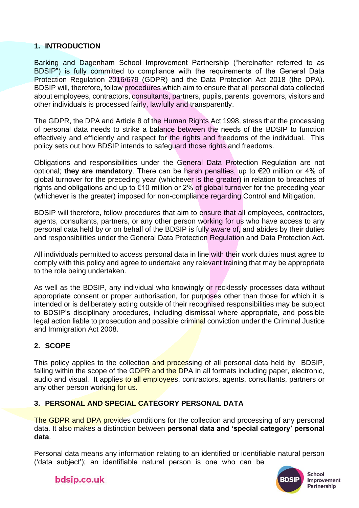# **1. INTRODUCTION**

Barking and Dagenham School Improvement Partnership ("hereinafter referred to as BDSIP") is fully committed to compliance with the requirements of the General Data Protection Regulation 2016/679 (GDPR) and the Data Protection Act 2018 (the DPA). BDSIP will, therefore, follow procedures which aim to ensure that all personal data collected about employees, contractors, consultants, partners, pupils, parents, governors, visitors and other individuals is processed fairly, lawfully and transparently.

The GDPR, the DPA and Article 8 of the Human Rights Act 1998, stress that the processing of personal data needs to strike a balance between the needs of the BDSIP to function effectively and efficiently and respect for the rights and freedoms of the individual. This policy sets out how BDSIP intends to safeguard those rights and freedoms.

Obligations and responsibilities under the General Data Protection Regulation are not optional; **they are mandatory**. There can be harsh penalties, up to €20 million or 4% of global turnover for the preceding year (whichever is the greater) in relation to breaches of rights and obligations and up to €10 million or 2% of global turnover for the preceding year (whichever is the greater) imposed for non-compliance regarding Control and Mitigation.

BDSIP will therefore, follow procedures that aim to ensure that all employees, contractors, agents, consultants, partners, or any other person working for us who have access to any personal data held by or on behalf of the BDSIP is fully aware of, and abides by their duties and responsibilities under the General Data Protection Regulation and Data Protection Act.

All individuals permitted to access personal data in line with their work duties must agree to comply with this policy and agree to undertake any relevant training that may be appropriate to the role being undertaken.

As well as the BDSIP, any individual who knowingly or recklessly processes data without appropriate consent or proper authorisation, for purposes other than those for which it is intended or is deliberately acting outside of their recognised responsibilities may be subject to BDSIP's disciplinary procedures, including dismissal where appropriate, and possible legal action liable to prosecution and possible criminal conviction under the Criminal Justice and Immigration Act 2008.

# **2. SCOPE**

This policy applies to the collection and processing of all personal data held by BDSIP, falling within the scope of the GDPR and the DPA in all formats including paper, electronic, audio and visual. It applies to all employees, contractors, agents, consultants, partners or any other person working for us.

# **3. PERSONAL AND SPECIAL CATEGORY PERSONAL DATA**

The GDPR and DPA provides conditions for the collection and processing of any personal data. It also makes a distinction between **personal data and 'special category' personal data**.

Personal data means any information relating to an identified or identifiable natural person ('data subject'); an identifiable natural person is one who can be



School Improvement Partnership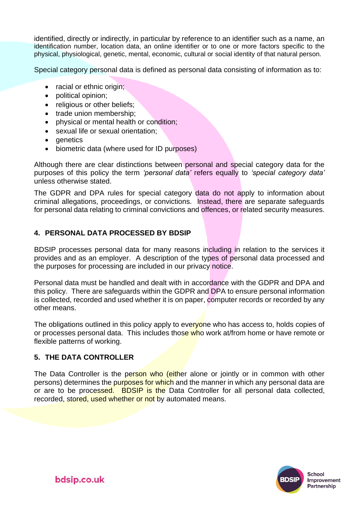identified, directly or indirectly, in particular by reference to an identifier such as a name, an identification number, location data, an online identifier or to one or more factors specific to the physical, physiological, genetic, mental, economic, cultural or social identity of that natural person.

Special category personal data is defined as personal data consisting of information as to:

- racial or ethnic origin;
- political opinion;
- religious or other beliefs:
- trade union membership;
- physical or mental health or condition;
- sexual life or sexual orientation;
- genetics
- biometric data (where used for ID purposes)

Although there are clear distinctions between personal and special category data for the purposes of this policy the term *'personal data'* refers equally to *'special category data'*  unless otherwise stated.

The GDPR and DPA rules for special category data do not apply to information about criminal allegations, proceedings, or convictions. Instead, there are separate safeguards for personal data relating to criminal convictions and offences, or related security measures.

### **4. PERSONAL DATA PROCESSED BY BDSIP**

BDSIP processes personal data for many reasons including in relation to the services it provides and as an employer. A description of the types of personal data processed and the purposes for processing are included in our privacy notice.

Personal data must be handled and dealt with in accordance with the GDPR and DPA and this policy. There are safeguards within the GDPR and DPA to ensure personal information is collected, recorded and used whether it is on paper, computer records or recorded by any other means.

The obligations outlined in this policy apply to everyone who has access to, holds copies of or processes personal data. This includes those who work at/from home or have remote or flexible patterns of working.

### **5. THE DATA CONTROLLER**

The Data Controller is the person who (either alone or jointly or in common with other persons) determines the purposes for which and the manner in which any personal data are or are to be processed. BDSIP is the Data Controller for all personal data collected, recorded, stored, used whether or not by automated means.

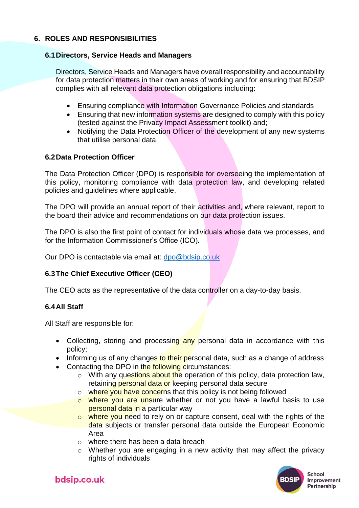# **6. ROLES AND RESPONSIBILITIES**

### **6.1Directors, Service Heads and Managers**

Directors, Service Heads and Managers have overall responsibility and accountability for data protection matters in their own areas of working and for ensuring that BDSIP complies with all relevant data protection obligations including:

- Ensuring compliance with Information Governance Policies and standards
- Ensuring that new information systems are designed to comply with this policy (tested against the Privacy Impact Assessment toolkit) and;
- Notifying the Data Protection Officer of the development of any new systems that utilise personal data.

## **6.2Data Protection Officer**

The Data Protection Officer (DPO) is responsible for overseeing the implementation of this policy, monitoring compliance with data protection law, and developing related policies and guidelines where applicable.

The DPO will provide an annual report of their activities and, where relevant, report to the board their advice and recommendations on our data protection issues.

The DPO is also the first point of contact for individuals whose data we processes, and for the Information Commissioner's Office (ICO).

Our DPO is contactable via email at: [dpo@bdsip.co.uk](mailto:dpo@bdsip.co.uk)

# **6.3The Chief Executive Officer (CEO)**

The CEO acts as the representative of the data controller on a day-to-day basis.

### **6.4All Staff**

All Staff are responsible for:

- Collecting, storing and processing any personal data in accordance with this policy;
- Informing us of any changes to their personal data, such as a change of address
- Contacting the DPO in the following circumstances:
	- $\circ$  With any questions about the operation of this policy, data protection law, retaining personal data or keeping personal data secure
	- o where you have concerns that this policy is not being followed
	- o where you are unsure whether or not you have a lawful basis to use personal data in a particular way
	- $\circ$  where you need to rely on or capture consent, deal with the rights of the data subjects or transfer personal data outside the European Economic Area
	- o where there has been a data breach
	- o Whether you are engaging in a new activity that may affect the privacy rights of individuals

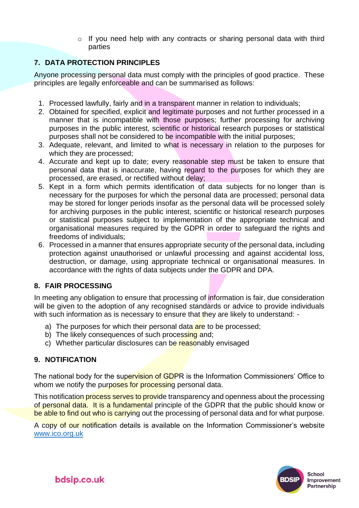$\circ$  If you need help with any contracts or sharing personal data with third parties

# **7. DATA PROTECTION PRINCIPLES**

Anyone processing personal data must comply with the principles of good practice. These principles are legally enforceable and can be summarised as follows:

- 1. Processed lawfully, fairly and in a transparent manner in relation to individuals;
- 2. Obtained for specified, explicit and legitimate purposes and not further processed in a manner that is incompatible with those purposes; further processing for archiving purposes in the public interest, scientific or historical research purposes or statistical purposes shall not be considered to be incompatible with the initial purposes;
- 3. Adequate, relevant, and limited to what is necessary in relation to the purposes for which they are processed;
- 4. Accurate and kept up to date; every reasonable step must be taken to ensure that personal data that is inaccurate, having regard to the purposes for which they are processed, are erased, or rectified without delay;
- 5. Kept in a form which permits identification of data subjects for no longer than is necessary for the purposes for which the personal data are processed; personal data may be stored for longer periods insofar as the personal data will be processed solely for archiving purposes in the public interest, scientific or historical research purposes or statistical purposes subject to implementation of the appropriate technical and organisational measures required by the GDPR in order to safeguard the rights and freedoms of individuals;
- 6. Processed in a manner that ensures appropriate security of the personal data, including protection against unauthorised or unlawful processing and against accidental loss, destruction, or damage, using appropriate technical or organisational measures. In accordance with the rights of data subjects under the GDPR and DPA.

# **8. FAIR PROCESSING**

In meeting any obligation to ensure that processing of information is fair, due consideration will be given to the adoption of any recognised standards or advice to provide individuals with such information as is necessary to ensure that they are likely to understand: -

- a) The purposes for which their personal data are to be processed;
- b) The likely consequences of such processing and;
- c) Whether particular disclosures can be reasonably envisaged

# **9. NOTIFICATION**

The national body for the supervision of GDPR is the Information Commissioners' Office to whom we notify the purposes for processing personal data.

This notification process serves to provide transparency and openness about the processing of personal data. It is a fundamental principle of the GDPR that the public should know or be able to find out who is carrying out the processing of personal data and for what purpose.

A copy of our notification details is available on the Information Commissioner's website [www.ico.org.uk](http://www.ico.org.uk/)

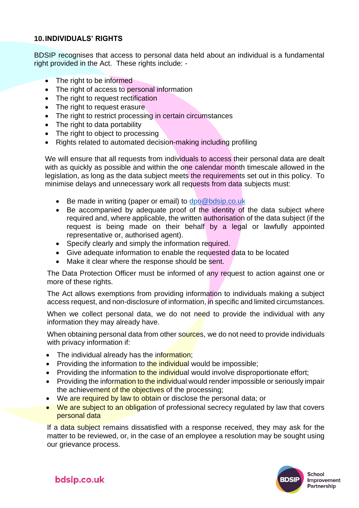## **10.INDIVIDUALS' RIGHTS**

BDSIP recognises that access to personal data held about an individual is a fundamental right provided in the Act. These rights include: -

- The right to be informed
- The right of access to personal information
- The right to request rectification
- The right to request erasure
- The right to restrict processing in certain circumstances
- The right to data portability
- The right to object to processing
- Rights related to automated decision-making including profiling

We will ensure that all requests from individuals to access their personal data are dealt with as quickly as possible and within the one calendar month timescale allowed in the legislation, as long as the data subject meets the requirements set out in this policy. To minimise delays and unnecessary work all requests from data subjects must:

- Be made in writing (paper or email) to [dpo@bdsip.co.uk](mailto:dpo@bdsip.co.uk)
- Be accompanied by adequate proof of the identity of the data subject where required and, where applicable, the written authorisation of the data subject (if the request is being made on their behalf by a legal or lawfully appointed representative or, authorised agent).
- Specify clearly and simply the information required.
- Give adequate information to enable the requested data to be located
- Make it clear where the response should be sent.

The Data Protection Officer must be informed of any request to action against one or more of these rights.

The Act allows exemptions from providing information to individuals making a subject access request, and non-disclosure of information, in specific and limited circumstances.

When we collect personal data, we do not need to provide the individual with any information they may already have.

When obtaining personal data from other sources, we do not need to provide individuals with privacy information if:

- The individual already has the information;
- Providing the information to the individual would be impossible;
- Providing the information to the individual would involve disproportionate effort;
- Providing the information to the individual would render impossible or seriously impair the achievement of the objectives of the processing;
- We are required by law to obtain or disclose the personal data; or
- We are subject to an obligation of professional secrecy regulated by law that covers personal data

If a data subject remains dissatisfied with a response received, they may ask for the matter to be reviewed, or, in the case of an employee a resolution may be sought using our grievance process.

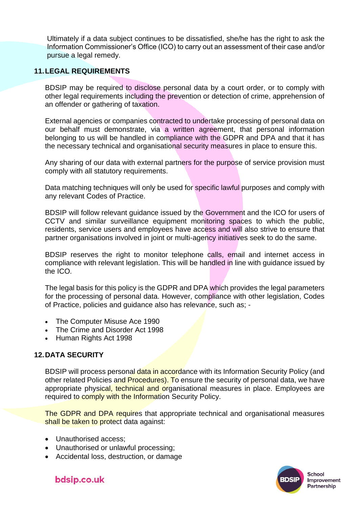Ultimately if a data subject continues to be dissatisfied, she/he has the right to ask the Information Commissioner's Office (ICO) to carry out an assessment of their case and/or pursue a legal remedy.

## **11.LEGAL REQUIREMENTS**

BDSIP may be required to disclose personal data by a court order, or to comply with other legal requirements including the prevention or detection of crime, apprehension of an offender or gathering of taxation.

External agencies or companies contracted to undertake processing of personal data on our behalf must demonstrate, via a written agreement, that personal information belonging to us will be handled in compliance with the GDPR and DPA and that it has the necessary technical and organisational security measures in place to ensure this.

Any sharing of our data with external partners for the purpose of service provision must comply with all statutory requirements.

Data matching techniques will only be used for specific lawful purposes and comply with any relevant Codes of Practice.

BDSIP will follow relevant guidance issued by the Government and the ICO for users of CCTV and similar surveillance equipment monitoring spaces to which the public, residents, service users and employees have access and will also strive to ensure that partner organisations involved in joint or multi-agency initiatives seek to do the same.

BDSIP reserves the right to monitor telephone calls, email and internet access in compliance with relevant legislation. This will be handled in line with guidance issued by the ICO.

The legal basis for this policy is the GDPR and DPA which provides the legal parameters for the processing of personal data. However, compliance with other legislation, Codes of Practice, policies and guidance also has relevance, such as; -

- The Computer Misuse Ace 1990
- The Crime and Disorder Act 1998
- Human Rights Act 1998

### **12.DATA SECURITY**

BDSIP will process personal data in accordance with its Information Security Policy (and other related Policies and **Procedures). To** ensure the security of personal data, we have appropriate physical, technical and organisational measures in place. Employees are required to comply with the Information Security Policy.

The GDPR and DPA requires that appropriate technical and organisational measures shall be taken to protect data against:

- Unauthorised access;
- Unauthorised or unlawful processing;
- Accidental loss, destruction, or damage

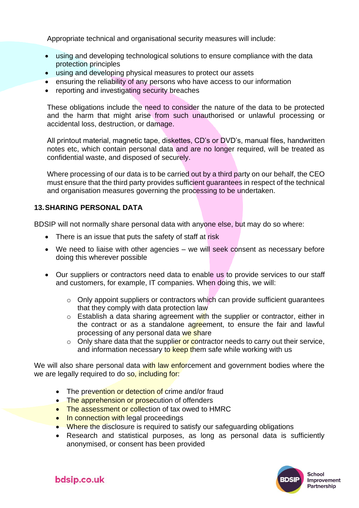Appropriate technical and organisational security measures will include:

- using and developing technological solutions to ensure compliance with the data protection principles
- using and developing physical measures to protect our assets
- ensuring the reliability of any persons who have access to our information
- reporting and investigating security breaches

These obligations include the need to consider the nature of the data to be protected and the harm that might arise from such unauthorised or unlawful processing or accidental loss, destruction, or damage.

All printout material, magnetic tape, diskettes, CD's or DVD's, manual files, handwritten notes etc, which contain personal data and are no longer required, will be treated as confidential waste, and disposed of securely.

Where processing of our data is to be carried out by a third party on our behalf, the CEO must ensure that the third party provides sufficient guarantees in respect of the technical and organisation measures governing the processing to be undertaken.

# **13.SHARING PERSONAL DATA**

BDSIP will not normally share personal data with anyone else, but may do so where:

- There is an issue that puts the safety of staff at risk
- We need to liaise with other agencies we will seek consent as necessary before doing this wherever possible
- Our suppliers or contractors need data to enable us to provide services to our staff and customers, for example, IT companies. When doing this, we will:
	- o Only appoint suppliers or contractors which can provide sufficient guarantees that they comply with data protection law
	- $\circ$  Establish a data sharing agreement with the supplier or contractor, either in the contract or as a standalone agreement, to ensure the fair and lawful processing of any personal data we share
	- $\circ$  Only share data that the supplier or contractor needs to carry out their service, and information necessary to keep them safe while working with us

We will also share personal data with law enforcement and government bodies where the we are legally required to do so, including for:

- The prevention or detection of crime and/or fraud
- The apprehension or prosecution of offenders
- The assessment or collection of tax owed to HMRC
- In connection with legal proceedings
- Where the disclosure is required to satisfy our safeguarding obligations
- Research and statistical purposes, as long as personal data is sufficiently anonymised, or consent has been provided

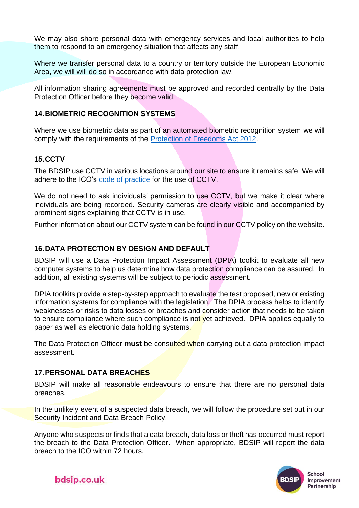We may also share personal data with emergency services and local authorities to help them to respond to an emergency situation that affects any staff.

Where we transfer personal data to a country or territory outside the European Economic Area, we will will do so in accordance with data protection law.

All information sharing agreements must be approved and recorded centrally by the Data Protection Officer before they become valid.

# **14.BIOMETRIC RECOGNITION SYSTEMS**

Where we use biometric data as part of an automated biometric recognition system we will comply with the requirements of the [Protection of Freedoms Act 2012.](https://www.legislation.gov.uk/ukpga/2012/9/section/26)

## **15.CCTV**

The BDSIP use CCTV in various locations around our site to ensure it remains safe. We will adhere to the ICO's [code of practice](https://ico.org.uk/media/for-organisations/documents/1542/cctv-code-of-practice.pdf) for the use of CCTV.

We do not need to ask individuals' permission to use CCTV, but we make it clear where individuals are being recorded. Security cameras are clearly visible and accompanied by prominent signs explaining that CCTV is in use.

Further information about our CCTV system can be found in our CCTV policy on the website.

# **16.DATA PROTECTION BY DESIGN AND DEFAULT**

BDSIP will use a Data Protection Impact Assessment (DPIA) toolkit to evaluate all new computer systems to help us determine how data protection compliance can be assured. In addition, all existing systems will be subject to periodic assessment.

DPIA toolkits provide a step-by-step approach to evaluate the test proposed, new or existing information systems for compliance with the legislation. The DPIA process helps to identify weaknesses or risks to data losses or breaches and consider action that needs to be taken to ensure compliance where such compliance is not yet achieved. DPIA applies equally to paper as well as electronic data holding systems.

The Data Protection Officer **must** be consulted when carrying out a data protection impact assessment.

# **17.PERSONAL DATA BREACHES**

BDSIP will make all reasonable endeavours to ensure that there are no personal data breaches.

In the unlikely event of a suspected data breach, we will follow the procedure set out in our Security Incident and Data Breach Policy.

Anyone who suspects or finds that a data breach, data loss or theft has occurred must report the breach to the Data Protection Officer. When appropriate, BDSIP will report the data breach to the ICO within 72 hours.

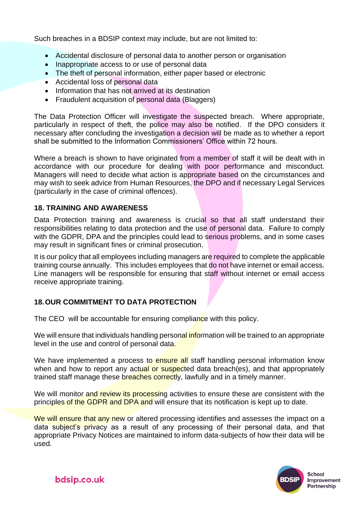Such breaches in a BDSIP context may include, but are not limited to:

- Accidental disclosure of personal data to another person or organisation
- Inappropriate access to or use of personal data
- The theft of personal information, either paper based or electronic
- Accidental loss of personal data
- Information that has not arrived at its destination
- Fraudulent acquisition of personal data (Blaggers)

The Data Protection Officer will investigate the suspected breach. Where appropriate, particularly in respect of theft, the police may also be notified. If the DPO considers it necessary after concluding the investigation a decision will be made as to whether a report shall be submitted to the Information Commissioners' Office within 72 hours.

Where a breach is shown to have originated from a member of staff it will be dealt with in accordance with our procedure for dealing with poor performance and misconduct. Managers will need to decide what action is appropriate based on the circumstances and may wish to seek advice from Human Resources, the DPO and if necessary Legal Services (particularly in the case of criminal offences).

## **18. TRAINING AND AWARENESS**

Data Protection training and awareness is crucial so that all staff understand their responsibilities relating to data protection and the use of personal data. Failure to comply with the GDPR, DPA and the principles could lead to serious problems, and in some cases may result in significant fines or criminal prosecution.

It is our policy that all employees including managers are required to complete the applicable training course annually. This includes employees that do not have internet or email access. Line managers will be responsible for ensuring that staff without internet or email access receive appropriate training.

# **18.OUR COMMITMENT TO DATA PROTECTION**

The CEO will be accountable for ensuring compliance with this policy.

We will ensure that individuals handling personal information will be trained to an appropriate level in the use and control of personal data.

We have implemented a process to ensure all staff handling personal information know when and how to report any actual or suspected data breach(es), and that appropriately trained staff manage these breaches correctly, lawfully and in a timely manner.

We will monitor and review its processing activities to ensure these are consistent with the principles of the GDPR and DPA and will ensure that its notification is kept up to date.

We will ensure that any new or altered processing identifies and assesses the impact on a data subject's privacy as a result of any processing of their personal data, and that appropriate Privacy Notices are maintained to inform data-subjects of how their data will be used.